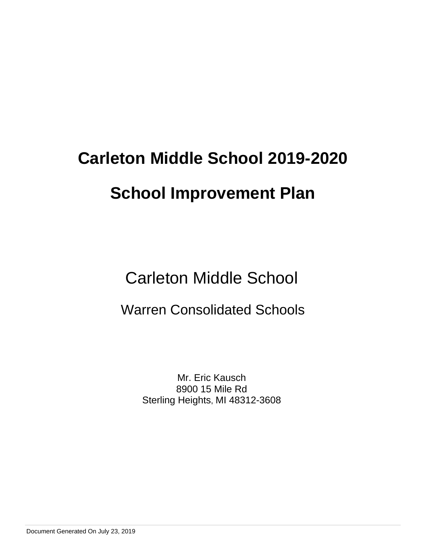Carleton Middle School

# Warren Consolidated Schools

Mr. Eric Kausch 8900 15 Mile Rd Sterling Heights, MI 48312-3608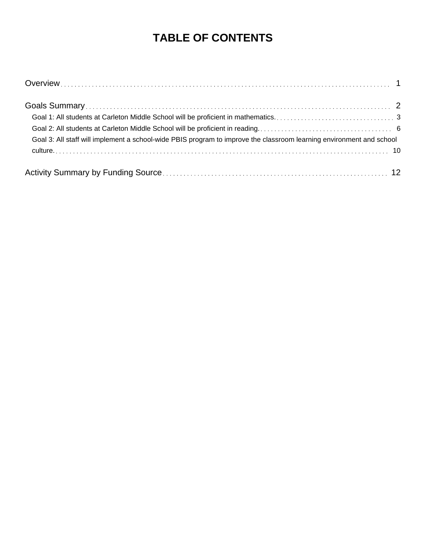# **TABLE OF CONTENTS**

| Goal 3: All staff will implement a school-wide PBIS program to improve the classroom learning environment and school |  |
|----------------------------------------------------------------------------------------------------------------------|--|
|                                                                                                                      |  |
|                                                                                                                      |  |
|                                                                                                                      |  |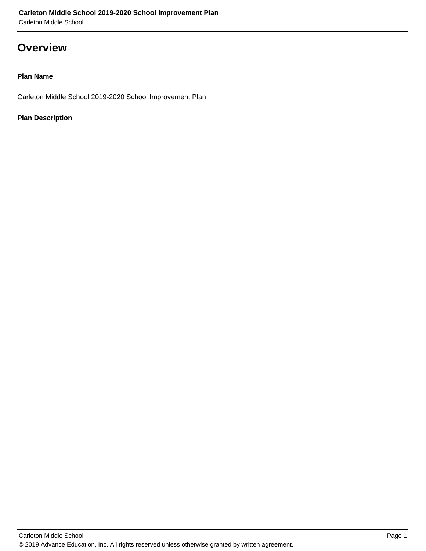### **Overview**

#### **Plan Name**

Carleton Middle School 2019-2020 School Improvement Plan

#### **Plan Description**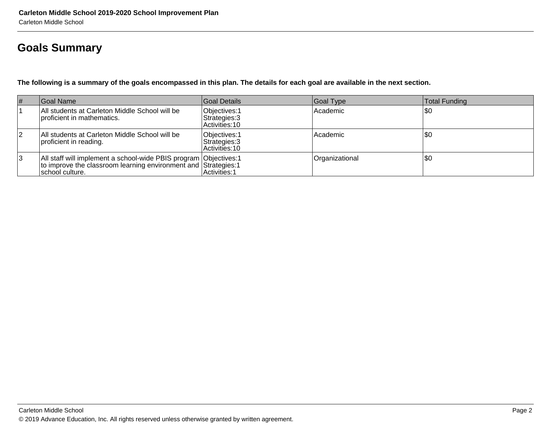# **Goals Summary**

**The following is a summary of the goals encompassed in this plan. The details for each goal are available in the next section.**

| $\vert \#$ | Goal Name                                                                                                                                               | Goal Details                                      | Goal Type      | Total Funding |
|------------|---------------------------------------------------------------------------------------------------------------------------------------------------------|---------------------------------------------------|----------------|---------------|
|            | All students at Carleton Middle School will be<br>proficient in mathematics.                                                                            | Objectives: 1<br>Strategies: 3<br>Activities: 10  | Academic       | \$0           |
| 2          | All students at Carleton Middle School will be<br>proficient in reading.                                                                                | Objectives: 1<br>Strategies: 3<br>IActivities: 10 | Academic       | \$0           |
| 3          | All staff will implement a school-wide PBIS program Objectives: 1<br>to improve the classroom learning environment and Strategies: 1<br>school culture. | Activities: 1                                     | Organizational | \$0           |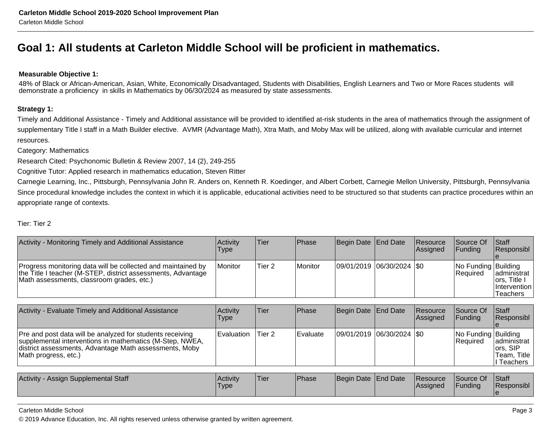## **Goal 1: All students at Carleton Middle School will be proficient in mathematics.**

#### **Measurable Objective 1:**

48% of Black or African-American, Asian, White, Economically Disadvantaged, Students with Disabilities, English Learners and Two or More Races students willdemonstrate a proficiency in skills in Mathematics by 06/30/2024 as measured by state assessments.

#### **Strategy 1:**

Timely and Additional Assistance - Timely and Additional assistance will be provided to identified at-risk students in the area of mathematics through the assignment ofsupplementary Title I staff in a Math Builder elective. AVMR (Advantage Math), Xtra Math, and Moby Max will be utilized, along with available curricular and internet resources.

Category: Mathematics

Research Cited: Psychonomic Bulletin & Review 2007, 14 (2), 249-255

Cognitive Tutor: Applied research in mathematics education, Steven Ritter

Carnegie Learning, Inc., Pittsburgh, Pennsylvania John R. Anders on, Kenneth R. Koedinger, and Albert Corbett, Carnegie Mellon University, Pittsburgh, PennsylvaniaSince procedural knowledge includes the context in which it is applicable, educational activities need to be structured so that students can practice procedures within an appropriate range of contexts.

#### Tier: Tier 2

| Activity - Monitoring Timely and Additional Assistance                                                                                                                                                  | Activity<br>Type  | Tier              | Phase           | Begin Date End Date         | Resource<br> Assigned | Source Of<br><b>Funding</b>     | Staff<br>Responsibl                                             |
|---------------------------------------------------------------------------------------------------------------------------------------------------------------------------------------------------------|-------------------|-------------------|-----------------|-----------------------------|-----------------------|---------------------------------|-----------------------------------------------------------------|
| Progress monitoring data will be collected and maintained by<br>the Title I teacher (M-STEP, district assessments, Advantage<br>Math assessments, classroom grades, etc.)                               | Monitor           | Tier <sub>2</sub> | Monitor         | 09/01/2019 06/30/2024   \$0 |                       | No Funding Building<br>Required | administrat<br>lors, Title I<br>Intervention<br><b>Teachers</b> |
|                                                                                                                                                                                                         |                   |                   |                 |                             |                       |                                 |                                                                 |
| Activity - Evaluate Timely and Additional Assistance                                                                                                                                                    | Activity<br>l ype | Tier              | <b>Phase</b>    | Begin Date End Date         | Resource<br>Assigned  | Source Of<br>Funding            | Staff<br>Responsibl                                             |
|                                                                                                                                                                                                         |                   |                   |                 |                             |                       |                                 |                                                                 |
| Pre and post data will be analyzed for students receiving<br>supplemental interventions in mathematics (M-Step, NWEA,<br>district assessments, Advantage Math assessments, Moby<br>Math progress, etc.) | Evaluation        | Tier 2            | <b>Evaluate</b> | 09/01/2019 06/30/2024   \$0 |                       | No Funding Building<br>Required | ladministrat<br>ors, SIP<br>Team, Title<br>I Teachers           |

| Activity -<br>y - Assign Supplemental Staff | Activity<br>'Type | 'Tier | <b>Phase</b> | Begin Date End Date |  | <b>Resource</b><br><b>Assigned</b> | Source Of<br><sup>"</sup> Funding | Staff<br>Responsibl |
|---------------------------------------------|-------------------|-------|--------------|---------------------|--|------------------------------------|-----------------------------------|---------------------|
|---------------------------------------------|-------------------|-------|--------------|---------------------|--|------------------------------------|-----------------------------------|---------------------|

#### Carleton Middle School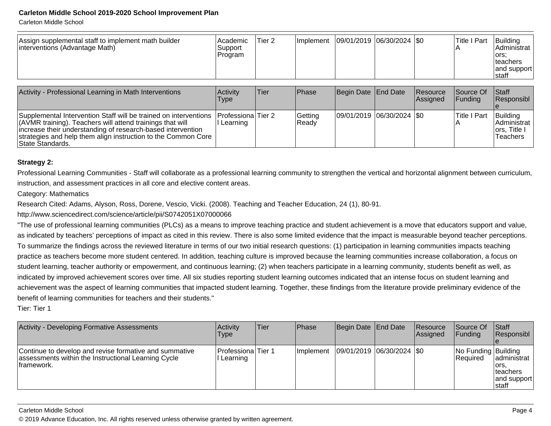Carleton Middle School

| Assign supplemental staff to implement math builder<br>interventions (Advantage Math)                                                                                                                                                                                              | Academic <br>Support<br>Program    | Tier 2 | Implement        | 09/01/2019 06/30/2024 \$0   |                             | <b>Title I Part</b>  | Building<br>Administrat<br>lors:<br>Iteachers<br>and support<br>Istaff |
|------------------------------------------------------------------------------------------------------------------------------------------------------------------------------------------------------------------------------------------------------------------------------------|------------------------------------|--------|------------------|-----------------------------|-----------------------------|----------------------|------------------------------------------------------------------------|
| Activity - Professional Learning in Math Interventions                                                                                                                                                                                                                             | <b>Activity</b><br>Type            | Tier   | Phase            | Begin Date End Date         | <b>Resource</b><br>Assigned | Source Of<br>Funding | <b>Staff</b><br>Responsibl                                             |
| Supplemental Intervention Staff will be trained on interventions<br>(AVMR training). Teachers will attend trainings that will<br>increase their understanding of research-based intervention<br>strategies and help them align instruction to the Common Core<br> State Standards. | Professiona   Tier 2<br>I Learning |        | Getting<br>Ready | 09/01/2019 06/30/2024   \$0 |                             | <b>Title I Part</b>  | Building<br>Administrat<br>Iors. Title I<br><b>Teachers</b>            |

#### **Strategy 2:**

Professional Learning Communities - Staff will collaborate as a professional learning community to strengthen the vertical and horizontal alignment between curriculum,instruction, and assessment practices in all core and elective content areas.

Category: Mathematics

Research Cited: Adams, Alyson, Ross, Dorene, Vescio, Vicki. (2008). Teaching and Teacher Education, 24 (1), 80-91.

http://www.sciencedirect.com/science/article/pii/S0742051X07000066

 "The use of professional learning communities (PLCs) as a means to improve teaching practice and student achievement is a move that educators support and value,as indicated by teachers' perceptions of impact as cited in this review. There is also some limited evidence that the impact is measurable beyond teacher perceptions.To summarize the findings across the reviewed literature in terms of our two initial research questions: (1) participation in learning communities impacts teaching practice as teachers become more student centered. In addition, teaching culture is improved because the learning communities increase collaboration, a focus onstudent learning, teacher authority or empowerment, and continuous learning; (2) when teachers participate in a learning community, students benefit as well, as indicated by improved achievement scores over time. All six studies reporting student learning outcomes indicated that an intense focus on student learning and achievement was the aspect of learning communities that impacted student learning. Together, these findings from the literature provide preliminary evidence of thebenefit of learning communities for teachers and their students."

Tier: Tier 1

| Activity - Developing Formative Assessments                                                                                  | <b>Activity</b><br>Type          | lTier. | <b>IPhase</b>     | Begin Date End Date         | <b>Resource</b><br><b>Assigned</b> | <b>Source Of</b><br>IFundina            | <b>Staff</b><br>Responsibl                                 |
|------------------------------------------------------------------------------------------------------------------------------|----------------------------------|--------|-------------------|-----------------------------|------------------------------------|-----------------------------------------|------------------------------------------------------------|
| Continue to develop and revise formative and summative<br>assessments within the Instructional Learning Cycle<br>Iframework. | Professiona Tier 1<br>I Learning |        | <b>Ilmplement</b> | 09/01/2019  06/30/2024  \$0 |                                    | No Funding Building<br><b>IRequired</b> | administrat<br>lors.<br>Iteachers<br>and support<br>Istaff |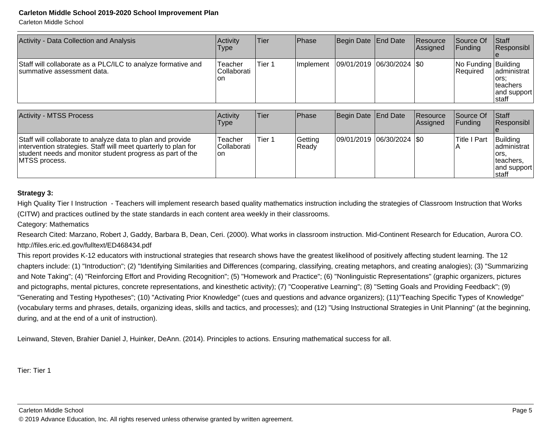Carleton Middle School

| Activity - Data Collection and Analysis                                                     | Activity<br>Type                | Tier   | Phase             | Begin Date End Date         | Resource<br><b>Assigned</b> | Source Of<br> Funding             | <b>Staff</b><br>Responsibl                                 |
|---------------------------------------------------------------------------------------------|---------------------------------|--------|-------------------|-----------------------------|-----------------------------|-----------------------------------|------------------------------------------------------------|
| Staff will collaborate as a PLC/ILC to analyze formative and<br>Isummative assessment data. | Teacher<br> Collaborati<br>l on | Tier 1 | <b>Ilmplement</b> | 09/01/2019  06/30/2024  \$0 |                             | No Funding Building<br>l Reauired | administrat<br>lors:<br>Iteachers<br>and support<br> staff |

| <b>Activity - MTSS Process</b>                                                                                                                                                                              | <b>Activity</b><br>Type               | <b>Tier</b> | <b>Phase</b>      | Begin Date End Date         | <b>Resource</b><br>Assigned | <b>Source Of</b><br>IFundina | <b>Staff</b><br>Responsibl                                               |
|-------------------------------------------------------------------------------------------------------------------------------------------------------------------------------------------------------------|---------------------------------------|-------------|-------------------|-----------------------------|-----------------------------|------------------------------|--------------------------------------------------------------------------|
| Staff will collaborate to analyze data to plan and provide<br>intervention strategies. Staff will meet quarterly to plan for<br>student needs and monitor student progress as part of the<br>IMTSS process. | Teacher<br><b>Collaborati</b><br>lon. | Tier 1      | Getting<br> Ready | 09/01/2019 06/30/2024   \$0 |                             | <b>Title I Part</b>          | Building<br>ladministrat<br>lors.<br>Iteachers.<br>and support<br>Istaff |

#### **Strategy 3:**

High Quality Tier I Instruction - Teachers will implement research based quality mathematics instruction including the strategies of Classroom Instruction that Works(CITW) and practices outlined by the state standards in each content area weekly in their classrooms.

Category: Mathematics

Research Cited: Marzano, Robert J, Gaddy, Barbara B, Dean, Ceri. (2000). What works in classroom instruction. Mid-Continent Research for Education, Aurora CO.http://files.eric.ed.gov/fulltext/ED468434.pdf

This report provides K-12 educators with instructional strategies that research shows have the greatest likelihood of positively affecting student learning. The 12 chapters include: (1) "Introduction"; (2) "Identifying Similarities and Differences (comparing, classifying, creating metaphors, and creating analogies); (3) "Summarizingand Note Taking"; (4) "Reinforcing Effort and Providing Recognition"; (5) "Homework and Practice"; (6) "Nonlinguistic Representations" (graphic organizers, picturesand pictographs, mental pictures, concrete representations, and kinesthetic activity); (7) "Cooperative Learning"; (8) "Setting Goals and Providing Feedback"; (9) "Generating and Testing Hypotheses"; (10) "Activating Prior Knowledge" (cues and questions and advance organizers); (11)"Teaching Specific Types of Knowledge"(vocabulary terms and phrases, details, organizing ideas, skills and tactics, and processes); and (12) "Using Instructional Strategies in Unit Planning" (at the beginning,during, and at the end of a unit of instruction).

Leinwand, Steven, Brahier Daniel J, Huinker, DeAnn. (2014). Principles to actions. Ensuring mathematical success for all.

Tier: Tier 1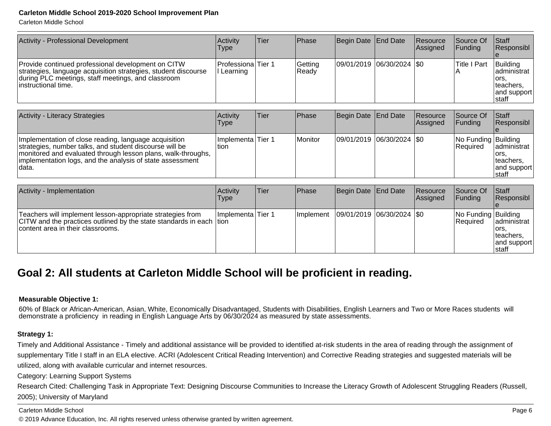Carleton Middle School

| 09/01/2019 06/30/2024   \$0<br>Building<br>Professiona Tier 1<br>Title I Part<br>Provide continued professional development on CITW<br>Getting<br>strategies, language acquisition strategies, student discourse<br>Ready<br>II Learning<br>$\mathsf{A}$<br>during PLC meetings, staff meetings, and classroom<br>lors.<br>linstructional time.<br>teachers.<br> staff | Activity - Professional Development | Activity<br><b>Type</b> | Tier | Phase | Begin Date End Date | <b>Resource</b><br><b>Assigned</b> | Source Of<br>IFundina l | <b>Staff</b><br>Responsibl |
|------------------------------------------------------------------------------------------------------------------------------------------------------------------------------------------------------------------------------------------------------------------------------------------------------------------------------------------------------------------------|-------------------------------------|-------------------------|------|-------|---------------------|------------------------------------|-------------------------|----------------------------|
|                                                                                                                                                                                                                                                                                                                                                                        |                                     |                         |      |       |                     |                                    |                         | administrat<br>and support |

| Activity - Literacy Strategies                                                                                                                                                                                                                            | Activity<br>Type           | <b>Tier</b> | Phase   | Begin Date End Date         | <b>Resource</b><br>Assigned | Source Of<br>IFundina                   | <b>Staff</b><br><b>Responsibl</b>                            |
|-----------------------------------------------------------------------------------------------------------------------------------------------------------------------------------------------------------------------------------------------------------|----------------------------|-------------|---------|-----------------------------|-----------------------------|-----------------------------------------|--------------------------------------------------------------|
| Implementation of close reading, language acquisition<br>strategies, number talks, and student discourse will be<br>  monitored and evaluated through lesson plans, walk-throughs,<br>implementation logs, and the analysis of state assessment<br>Idata. | Implementa Tier 1<br>ltion |             | Monitor | 09/01/2019 06/30/2024   \$0 |                             | No Funding Building<br><b>IRequired</b> | ladministrat<br>lors.<br>Iteachers.<br>and support<br>Istaff |

| Activity - Implementation                                                                                                                                               | Activity<br>Type   | lTier. | <b>Phase</b>      | Begin Date End Date         | Resource<br>Assigned | Source Of<br>IFundina           | <b>Staff</b><br>Responsibl                                   |
|-------------------------------------------------------------------------------------------------------------------------------------------------------------------------|--------------------|--------|-------------------|-----------------------------|----------------------|---------------------------------|--------------------------------------------------------------|
| Teachers will implement lesson-appropriate strategies from<br>CITW and the practices outlined by the state standards in each  tion<br>content area in their classrooms. | Ilmplementa Tier 1 |        | <b>Ilmplement</b> | 09/01/2019  06/30/2024  \$0 |                      | No Funding Building<br>Required | ladministrat<br>lors.<br>Iteachers,<br>and support<br>Istaff |

## **Goal 2: All students at Carleton Middle School will be proficient in reading.**

#### **Measurable Objective 1:**

 60% of Black or African-American, Asian, White, Economically Disadvantaged, Students with Disabilities, English Learners and Two or More Races students willdemonstrate a proficiency in reading in English Language Arts by 06/30/2024 as measured by state assessments.

#### **Strategy 1:**

Timely and Additional Assistance - Timely and additional assistance will be provided to identified at-risk students in the area of reading through the assignment ofsupplementary Title I staff in an ELA elective. ACRI (Adolescent Critical Reading Intervention) and Corrective Reading strategies and suggested materials will be utilized, along with available curricular and internet resources.

Category: Learning Support Systems

Research Cited: Challenging Task in Appropriate Text: Designing Discourse Communities to Increase the Literacy Growth of Adolescent Struggling Readers (Russell, 2005); University of Maryland

Carleton Middle School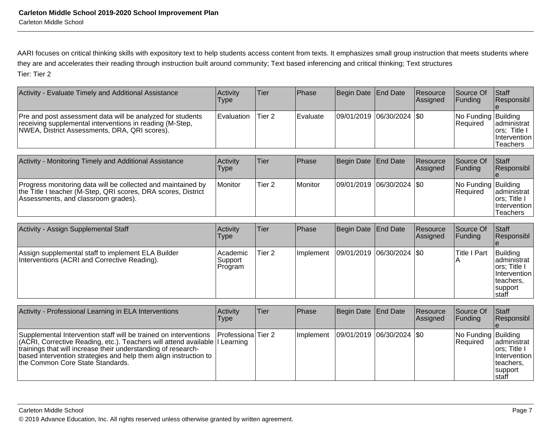AARI focuses on critical thinking skills with expository text to help students access content from texts. It emphasizes small group instruction that meets students where they are and accelerates their reading through instruction built around community; Text based inferencing and critical thinking; Text structuresTier: Tier 2

| Activity - Evaluate Timely and Additional Assistance                                                                                                                    | Activity<br>Type               | Tier              | Phase          | Begin Date End Date |                 | Resource<br>Assigned | Source Of<br>Funding            | Staff<br>Responsibl                                                                         |
|-------------------------------------------------------------------------------------------------------------------------------------------------------------------------|--------------------------------|-------------------|----------------|---------------------|-----------------|----------------------|---------------------------------|---------------------------------------------------------------------------------------------|
| Pre and post assessment data will be analyzed for students<br>receiving supplemental interventions in reading (M-Step,<br>NWEA, District Assessments, DRA, QRI scores). | Evaluation                     | Tier <sub>2</sub> | Evaluate       | 09/01/2019          | 06/30/2024      | I\$0                 | No Funding Building<br>Required | administrat<br>ors; Title I<br>Intervention<br><b>Teachers</b>                              |
| Activity - Monitoring Timely and Additional Assistance                                                                                                                  | Activity<br>Type               | Tier              | Phase          | Begin Date          | <b>End Date</b> | Resource<br>Assigned | Source Of<br>Funding            | Staff<br>Responsibl                                                                         |
| Progress monitoring data will be collected and maintained by<br>the Title I teacher (M-Step, QRI scores, DRA scores, District<br>Assessments, and classroom grades).    | Monitor                        | Tier 2            | <b>Monitor</b> | 09/01/2019          | 06/30/2024      | I\$0                 | No Funding Building<br>Required | administrat<br>∣ors; Title I<br>Intervention<br><b>Teachers</b>                             |
| Activity - Assign Supplemental Staff                                                                                                                                    | Activity<br>Type               | Tier              | Phase          | Begin Date          | <b>End Date</b> | Resource<br>Assigned | Source Of<br>Funding            | Staff<br>Responsibl                                                                         |
| Assign supplemental staff to implement ELA Builder<br>Interventions (ACRI and Corrective Reading).                                                                      | Academic<br>Support<br>Program | Tier 2            | Implement      | 109/01/2019         | 06/30/2024      | <b>SO</b>            | Title I Part                    | Building<br>Iadministrat<br>∣ors; Title I<br>Intervention<br>teachers,<br>support<br>Istaff |

| Activity - Professional Learning in ELA Interventions                                                                                                                                                                                                                                                                                         | Activity<br><b>Type</b> | Tier | <b>Phase</b>                              | Begin Date End Date | <b>Resource</b><br><b>Assigned</b> | <b>Source Of</b><br>IFundina           | Staff<br>Responsibl                                                                            |
|-----------------------------------------------------------------------------------------------------------------------------------------------------------------------------------------------------------------------------------------------------------------------------------------------------------------------------------------------|-------------------------|------|-------------------------------------------|---------------------|------------------------------------|----------------------------------------|------------------------------------------------------------------------------------------------|
| Supplemental Intervention staff will be trained on interventions   Professiona Tier 2<br>(ACRI, Corrective Reading, etc.). Teachers will attend available   Learning<br>trainings that will increase their understanding of research-<br>based intervention strategies and help them align instruction to<br>the Common Core State Standards. |                         |      | Implement   09/01/2019   06/30/2024   \$0 |                     |                                    | No Funding Building<br><b>Required</b> | ladministrat<br>lors: Title I<br><i>Intervention</i><br>Iteachers.<br>support<br><b>Istaff</b> |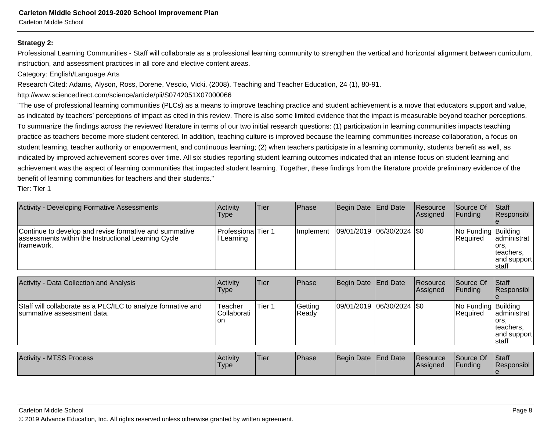Carleton Middle School

#### **Strategy 2:**

Professional Learning Communities - Staff will collaborate as a professional learning community to strengthen the vertical and horizontal alignment between curriculum,instruction, and assessment practices in all core and elective content areas.

Category: English/Language Arts

Research Cited: Adams, Alyson, Ross, Dorene, Vescio, Vicki. (2008). Teaching and Teacher Education, 24 (1), 80-91.

http://www.sciencedirect.com/science/article/pii/S0742051X07000066

"The use of professional learning communities (PLCs) as a means to improve teaching practice and student achievement is a move that educators support and value,as indicated by teachers' perceptions of impact as cited in this review. There is also some limited evidence that the impact is measurable beyond teacher perceptions.To summarize the findings across the reviewed literature in terms of our two initial research questions: (1) participation in learning communities impacts teaching practice as teachers become more student centered. In addition, teaching culture is improved because the learning communities increase collaboration, a focus onstudent learning, teacher authority or empowerment, and continuous learning; (2) when teachers participate in a learning community, students benefit as well, asindicated by improved achievement scores over time. All six studies reporting student learning outcomes indicated that an intense focus on student learning and achievement was the aspect of learning communities that impacted student learning. Together, these findings from the literature provide preliminary evidence of thebenefit of learning communities for teachers and their students."

Tier: Tier 1

| Activity - Developing Formative Assessments                                                                                 | Activity<br>Type                        | Tier   | Phase            | Begin Date | End Date           | Resource<br> Assigned | Source Of<br>Funding            | <b>Staff</b><br>Responsibl                                |
|-----------------------------------------------------------------------------------------------------------------------------|-----------------------------------------|--------|------------------|------------|--------------------|-----------------------|---------------------------------|-----------------------------------------------------------|
| Continue to develop and revise formative and summative<br>assessments within the Instructional Learning Cycle<br>framework. | <b>Professiona</b> Tier 1<br>I Learning |        | Implement        | 09/01/2019 | $ 06/30/2024 $ \$0 |                       | No Funding Building<br>Required | administrat<br>lors.<br>teachers,<br>and support<br>staff |
| Activity - Data Collection and Analysis                                                                                     | Activity                                | Tier   | Phase            | Begin Date | <b>End Date</b>    | Resource              | Source Of                       | <b>Staff</b>                                              |
|                                                                                                                             | <b>Type</b>                             |        |                  |            |                    | Assigned              | Funding                         | Responsibl                                                |
| Staff will collaborate as a PLC/ILC to analyze formative and<br>summative assessment data.                                  | Teacher<br>Collaborati<br>lon           | Tier 1 | Getting<br>Ready | 09/01/2019 | $ 06/30/2024 $ \$0 |                       | No Funding Building<br>Required | administrat<br>lors.<br>teachers,<br>and support<br>staff |
|                                                                                                                             |                                         |        |                  |            |                    |                       |                                 |                                                           |
| <b>Activity - MTSS Process</b>                                                                                              | Activity<br><b>Type</b>                 | Tier   | Phase            | Begin Date | End Date           | Resource<br> Assigned | Source Of<br>Funding            | Staff<br> Responsibl_                                     |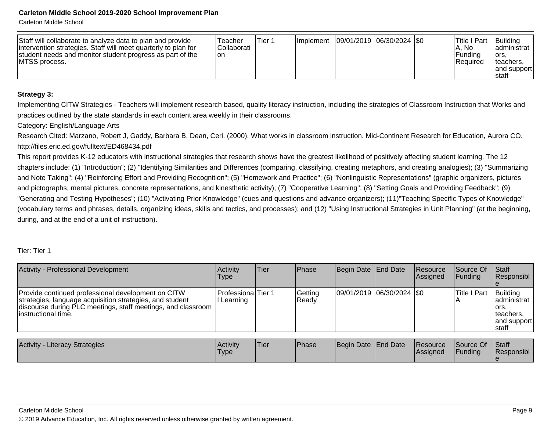Carleton Middle School

| Staff will collaborate to analyze data to plan and provide<br>intervention strategies. Staff will meet quarterly to plan for<br>student needs and monitor student progress as part of the<br><b>IMTSS process.</b> | Teacher<br><b>Collaborati</b><br>Ion | Tier 1 | <b>Ilmplement</b> | 09/01/2019  06/30/2024  \$0 |  |  | 'Title I Part<br>lA. No<br>l Fundina<br>l Reauired | Building<br>ladministrat l<br>lors.<br>Iteachers,<br>land support<br>Istaff |
|--------------------------------------------------------------------------------------------------------------------------------------------------------------------------------------------------------------------|--------------------------------------|--------|-------------------|-----------------------------|--|--|----------------------------------------------------|-----------------------------------------------------------------------------|
|--------------------------------------------------------------------------------------------------------------------------------------------------------------------------------------------------------------------|--------------------------------------|--------|-------------------|-----------------------------|--|--|----------------------------------------------------|-----------------------------------------------------------------------------|

#### **Strategy 3:**

Implementing CITW Strategies - Teachers will implement research based, quality literacy instruction, including the strategies of Classroom Instruction that Works andpractices outlined by the state standards in each content area weekly in their classrooms.

Category: English/Language Arts

 Research Cited: Marzano, Robert J, Gaddy, Barbara B, Dean, Ceri. (2000). What works in classroom instruction. Mid-Continent Research for Education, Aurora CO.http://files.eric.ed.gov/fulltext/ED468434.pdf

This report provides K-12 educators with instructional strategies that research shows have the greatest likelihood of positively affecting student learning. The 12 chapters include: (1) "Introduction"; (2) "Identifying Similarities and Differences (comparing, classifying, creating metaphors, and creating analogies); (3) "Summarizingand Note Taking"; (4) "Reinforcing Effort and Providing Recognition"; (5) "Homework and Practice"; (6) "Nonlinguistic Representations" (graphic organizers, picturesand pictographs, mental pictures, concrete representations, and kinesthetic activity); (7) "Cooperative Learning"; (8) "Setting Goals and Providing Feedback"; (9) "Generating and Testing Hypotheses"; (10) "Activating Prior Knowledge" (cues and questions and advance organizers); (11)"Teaching Specific Types of Knowledge"(vocabulary terms and phrases, details, organizing ideas, skills and tactics, and processes); and (12) "Using Instructional Strategies in Unit Planning" (at the beginning,during, and at the end of a unit of instruction).

#### Tier: Tier 1

| Activity - Professional Development                                                                                                                                                                    | <b>Activity</b><br>Type         | Tier | Phase            | Begin Date   End Date       | Resource<br>Assigned | Source Of<br>IFundina                | <b>IStaff</b><br>Responsibl                                              |
|--------------------------------------------------------------------------------------------------------------------------------------------------------------------------------------------------------|---------------------------------|------|------------------|-----------------------------|----------------------|--------------------------------------|--------------------------------------------------------------------------|
| Provide continued professional development on CITW<br>strategies, language acquisition strategies, and student<br>discourse during PLC meetings, staff meetings, and classroom<br>linstructional time. | lProfessionalTier 1<br>Learning |      | Getting<br>Ready | 09/01/2019 06/30/2024   \$0 |                      | <b>ITitle I Part</b><br>$\mathsf{A}$ | Building<br>ladministrat<br>lors.<br>Iteachers,<br>and support<br>Istaff |

| <b>Activity</b><br><b>Literacy Strategies</b> | Activity<br>'Type | <b>Tier</b> | <b>IPhase</b> | Begin Date End Date |  | <b>Resource</b><br>lAssianed | Source Of<br><b>Funding</b> | Staff<br>Responsibl |
|-----------------------------------------------|-------------------|-------------|---------------|---------------------|--|------------------------------|-----------------------------|---------------------|
|-----------------------------------------------|-------------------|-------------|---------------|---------------------|--|------------------------------|-----------------------------|---------------------|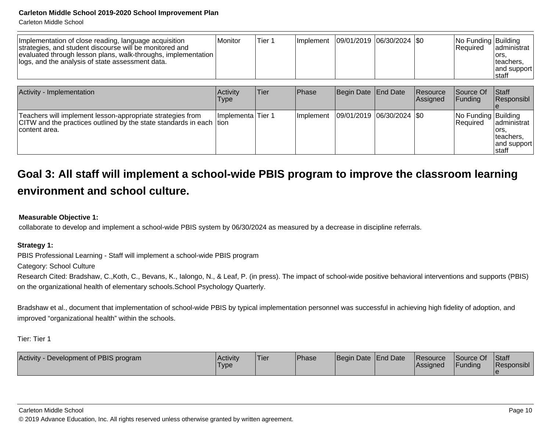Carleton Middle School

| Implementation of close reading, language acquisition<br>strategies, and student discourse will be monitored and<br>evaluated through lesson plans, walk-throughs, implementation<br>logs, and the analysis of state assessment data. | Monitor                 | Tier <sub>1</sub> | Implement | 09/01/2019  06/30/2024  \$0 |                      | No Funding Building<br>Required | ladministrat<br>lors.<br>teachers.<br>and support<br>staff |
|---------------------------------------------------------------------------------------------------------------------------------------------------------------------------------------------------------------------------------------|-------------------------|-------------------|-----------|-----------------------------|----------------------|---------------------------------|------------------------------------------------------------|
| Activity - Implementation                                                                                                                                                                                                             | Activity<br><b>Type</b> | Tier              | Phase     | Begin Date End Date         | Resource<br>Assigned | Source Of<br>Funding            | <b>Staff</b><br>Responsibl                                 |
| Teachers will implement lesson-appropriate strategies from<br>CITW and the practices outlined by the state standards in each tion<br>content area.                                                                                    | Implementa Tier 1       |                   | Implement | 09/01/2019 06/30/2024   \$0 |                      | No Funding Building<br>Required | ladministrat<br>lors.<br>teachers.<br>and support<br>staff |

# **Goal 3: All staff will implement a school-wide PBIS program to improve the classroom learningenvironment and school culture.**

#### **Measurable Objective 1:**

collaborate to develop and implement a school-wide PBIS system by 06/30/2024 as measured by a decrease in discipline referrals.

#### **Strategy 1:**

PBIS Professional Learning - Staff will implement a school-wide PBIS program

Category: School Culture

Research Cited: Bradshaw, C.,Koth, C., Bevans, K., Ialongo, N., & Leaf, P. (in press). The impact of school-wide positive behavioral interventions and supports (PBIS) on the organizational health of elementary schools.School Psychology Quarterly.

Bradshaw et al., document that implementation of school-wide PBIS by typical implementation personnel was successful in achieving high fidelity of adoption, andimproved "organizational health" within the schools.

Tier: Tier 1

| Development of PBIS program<br><b>Activity</b> | Activity<br>'Type | Tier | <b>Phase</b> | Begin Date End Date |  | <b>Resource</b><br><b>Assigned</b> | Source Of<br>Funding | Staff<br>Responsibl |
|------------------------------------------------|-------------------|------|--------------|---------------------|--|------------------------------------|----------------------|---------------------|
|------------------------------------------------|-------------------|------|--------------|---------------------|--|------------------------------------|----------------------|---------------------|

#### Carleton Middle School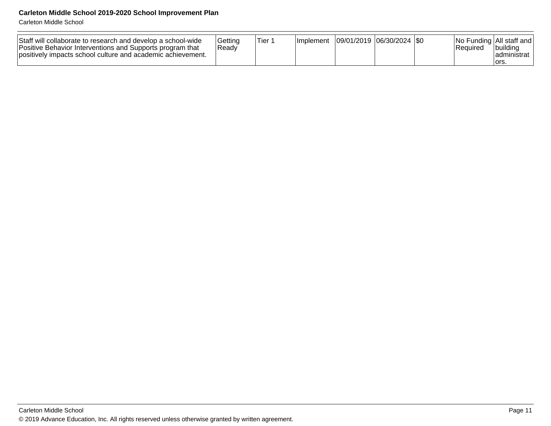Carleton Middle School

| Staff will collaborate to research and develop a school-wide<br>Positive Behavior Interventions and Supports program that<br>positively impacts school culture and academic achievement. | l Gettina<br> Readv | Tier 1 | <b>Ilmplement</b> | ີ  09/01/2019  06/30/2024  \$0 |  |  | Required | No Funding All staff and<br>Ibuildina<br>Iadministrat<br>Tors. |
|------------------------------------------------------------------------------------------------------------------------------------------------------------------------------------------|---------------------|--------|-------------------|--------------------------------|--|--|----------|----------------------------------------------------------------|
|------------------------------------------------------------------------------------------------------------------------------------------------------------------------------------------|---------------------|--------|-------------------|--------------------------------|--|--|----------|----------------------------------------------------------------|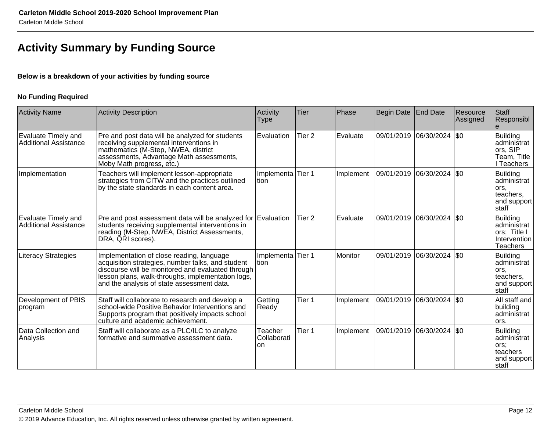# **Activity Summary by Funding Source**

#### **Below is a breakdown of your activities by funding source**

#### **No Funding Required**

| <b>Activity Name</b>                                | Activity Description                                                                                                                                                                                                                                   | Activity<br><b>Type</b>      | Tier              | Phase          | Begin Date | End Date                    | Resource<br>Assigned | <b>Staff</b><br>Responsibl                                                         |
|-----------------------------------------------------|--------------------------------------------------------------------------------------------------------------------------------------------------------------------------------------------------------------------------------------------------------|------------------------------|-------------------|----------------|------------|-----------------------------|----------------------|------------------------------------------------------------------------------------|
| Evaluate Timely and<br><b>Additional Assistance</b> | Pre and post data will be analyzed for students<br>receiving supplemental interventions in<br>mathematics (M-Step, NWEA, district<br>assessments, Advantage Math assessments,<br>Moby Math progress, etc.)                                             | Evaluation                   | Tier <sub>2</sub> | Evaluate       | 09/01/2019 | 06/30/2024                  | $ $ \$0              | <b>Building</b><br>administrat<br>ors, SIP<br>Team, Title<br>I Teachers            |
| Implementation                                      | Teachers will implement lesson-appropriate<br>strategies from CITW and the practices outlined<br>by the state standards in each content area.                                                                                                          | Implementa Tier 1<br>Ition   |                   | Implement      |            | 09/01/2019  06/30/2024  \$0 |                      | <b>Building</b><br>administrat<br>lors.<br>teachers,<br>and support<br>staff       |
| Evaluate Timely and<br><b>Additional Assistance</b> | Pre and post assessment data will be analyzed for Evaluation<br>students receiving supplemental interventions in<br>reading (M-Step, NWEA, District Assessments, DRA, QRI scores).                                                                     |                              | Tier 2            | Evaluate       | 09/01/2019 | 06/30/2024                  | $ \$0$               | <b>Building</b><br>administrat<br>ors; Title I<br>Intervention<br><b>Teachers</b>  |
| <b>Literacy Strategies</b>                          | Implementation of close reading, language<br>acquisition strategies, number talks, and student<br>discourse will be monitored and evaluated through<br>lesson plans, walk-throughs, implementation logs,<br>and the analysis of state assessment data. | Implementa Tier 1<br>Ition   |                   | <b>Monitor</b> | 09/01/2019 | $ 06/30/2024 $ \$0          |                      | <b>Building</b><br>administrat<br>lors,<br>teachers,<br>and support<br>staff       |
| Development of PBIS<br>program                      | Staff will collaborate to research and develop a<br>school-wide Positive Behavior Interventions and<br>Supports program that positively impacts school<br>culture and academic achievement.                                                            | Getting<br>Ready             | Tier 1            | Implement      |            | 09/01/2019 06/30/2024  \$0  |                      | All staff and<br>building<br>administrat<br>ors.                                   |
| Data Collection and<br>Analysis                     | Staff will collaborate as a PLC/ILC to analyze<br>formative and summative assessment data.                                                                                                                                                             | Teacher<br>Collaborati<br>on | Tier 1            | Implement      |            | 09/01/2019  06/30/2024  \$0 |                      | <b>Building</b><br>administrat<br>lors;<br>teachers<br>and support<br><b>Staff</b> |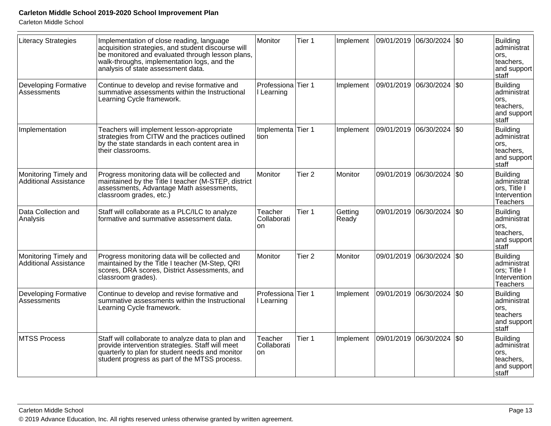Carleton Middle School

| <b>Literacy Strategies</b>                     | Implementation of close reading, language<br>acquisition strategies, and student discourse will<br>be monitored and evaluated through lesson plans,<br>walk-throughs, implementation logs, and the<br>analysis of state assessment data. | Monitor                          | Tier 1            | Implement        | 09/01/2019 06/30/2024 \$0 |                             |     | Building<br>ladministrat<br>ors.<br>teachers,<br>and support<br>staff          |
|------------------------------------------------|------------------------------------------------------------------------------------------------------------------------------------------------------------------------------------------------------------------------------------------|----------------------------------|-------------------|------------------|---------------------------|-----------------------------|-----|--------------------------------------------------------------------------------|
| <b>Developing Formative</b><br>Assessments     | Continue to develop and revise formative and<br>summative assessments within the Instructional<br>Learning Cycle framework.                                                                                                              | Professiona<br>I Learning        | Tier 1            | Implement        |                           | 09/01/2019  06/30/2024  \$0 |     | Building<br>administrat<br>ors,<br>teachers,<br>and support<br>staff           |
| Implementation                                 | Teachers will implement lesson-appropriate<br>strategies from CITW and the practices outlined<br>by the state standards in each content area in<br>their classrooms.                                                                     | Implementa Tier 1<br>tion        |                   | Implement        |                           | 09/01/2019  06/30/2024  \$0 |     | Building<br>administrat<br>lors,<br>teachers,<br>and support<br>staff          |
| Monitoring Timely and<br>Additional Assistance | Progress monitoring data will be collected and<br>maintained by the Title I teacher (M-STEP, district<br>assessments, Advantage Math assessments,<br>classroom grades, etc.)                                                             | Monitor                          | Tier <sub>2</sub> | Monitor          |                           | 09/01/2019 06/30/2024       | \$0 | Building<br>administrat<br>ors, Title I<br>Intervention<br>Teachers            |
| Data Collection and<br>Analysis                | Staff will collaborate as a PLC/ILC to analyze<br>formative and summative assessment data.                                                                                                                                               | Teacher<br>Collaborati<br>on     | Tier <sub>1</sub> | Getting<br>Ready |                           | 09/01/2019 06/30/2024 \$0   |     | Building<br>administrat<br>ors,<br>teachers,<br>and support<br>staff           |
| Monitoring Timely and<br>Additional Assistance | Progress monitoring data will be collected and<br>maintained by the Title I teacher (M-Step, QRI<br>scores, DRA scores, District Assessments, and<br>classroom grades).                                                                  | Monitor                          | Tier 2            | Monitor          |                           | 09/01/2019 06/30/2024       | \$0 | Building<br>administrat<br>ors; Title I<br>Intervention<br>Teachers            |
| <b>Developing Formative</b><br>Assessments     | Continue to develop and revise formative and<br>summative assessments within the Instructional<br>Learning Cycle framework.                                                                                                              | Professiona Tier 1<br>I Learning |                   | Implement        |                           | 09/01/2019  06/30/2024  \$0 |     | Building<br>administrat<br>ors,<br>teachers<br>and support<br>staff            |
| MTSS Process                                   | Staff will collaborate to analyze data to plan and<br>provide intervention strategies. Staff will meet<br>quarterly to plan for student needs and monitor<br>student progress as part of the MTSS process.                               | Teacher<br>Collaborati<br>on     | Tier 1            | Implement        | 09/01/2019 06/30/2024     |                             | \$0 | Building<br>ladminištrat<br>lors,<br>teachers,<br>and support<br><b>Istaff</b> |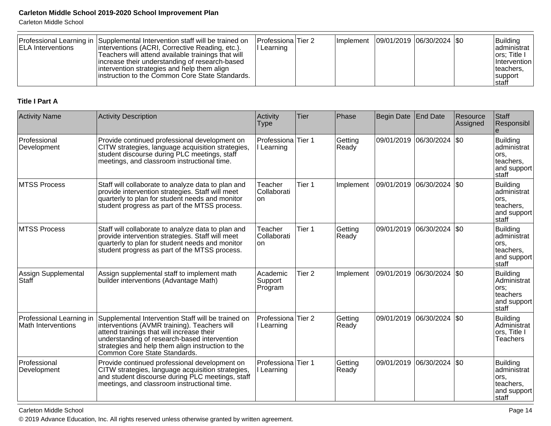Carleton Middle School

| <b>IELA Interventions</b> | Professional Learning in Supplemental Intervention staff will be trained on<br>interventions (ACRI, Corrective Reading, etc.).<br>Teachers will attend available trainings that will<br>increase their understanding of research-based<br>intervention strategies and help them align | Professiona Tier 2<br>l Learning |  | Implement   09/01/2019   06/30/2024   \$0 |  | <b>Building</b><br>ladministrat<br>ors; Title I<br>Intervention I<br>teachers. |
|---------------------------|---------------------------------------------------------------------------------------------------------------------------------------------------------------------------------------------------------------------------------------------------------------------------------------|----------------------------------|--|-------------------------------------------|--|--------------------------------------------------------------------------------|
|                           | linstruction to the Common Core State Standards.                                                                                                                                                                                                                                      |                                  |  |                                           |  | <b>Isupport</b><br><b>Istaff</b>                                               |

#### **Title I Part A**

| <b>Activity Name</b>                                  | <b>Activity Description</b>                                                                                                                                                                                                                                                          | Activity<br><b>Type</b>                     | <b>Tier</b>       | Phase            | <b>Begin Date</b> | <b>End Date</b>             | Resource<br>Assigned | Staff<br>Responsibl                                                           |
|-------------------------------------------------------|--------------------------------------------------------------------------------------------------------------------------------------------------------------------------------------------------------------------------------------------------------------------------------------|---------------------------------------------|-------------------|------------------|-------------------|-----------------------------|----------------------|-------------------------------------------------------------------------------|
| Professional<br>Development                           | Provide continued professional development on<br>CITW strategies, language acquisition strategies,<br>student discourse during PLC meetings, staff<br>meetings, and classroom instructional time.                                                                                    | Professiona Tier 1<br>I Learning            |                   | Getting<br>Ready |                   | 09/01/2019 06/30/2024       | \$0                  | Building<br>ladministrat<br>lors.<br>teachers,<br>and support<br><b>Staff</b> |
| MTSS Process                                          | Staff will collaborate to analyze data to plan and<br>provide intervention strategies. Staff will meet<br>quarterly to plan for student needs and monitor<br>student progress as part of the MTSS process.                                                                           | Teacher<br>Collaborati<br>lon               | Tier 1            | Implement        |                   | 09/01/2019  06/30/2024  \$0 |                      | Building<br>administrat<br>lors,<br>teachers,<br>and support<br>staff         |
| MTSS Process                                          | Staff will collaborate to analyze data to plan and<br>provide intervention strategies. Staff will meet<br>quarterly to plan for student needs and monitor<br>student progress as part of the MTSS process.                                                                           | Teacher<br>Collaborati<br>lon.              | Tier 1            | Getting<br>Ready | 09/01/2019        | 06/30/2024                  | \$0                  | Building<br>ladministrat<br>lors.<br>teachers,<br>and support<br>staff        |
| Assign Supplemental<br>Staff                          | Assign supplemental staff to implement math<br>builder interventions (Advantage Math)                                                                                                                                                                                                | Academic<br>Support<br>Program              | Tier <sub>2</sub> | Implement        | 09/01/2019        | 06/30/2024   \$0            |                      | Building<br>Administrat<br>ors;<br><b>Iteachers</b><br>and support<br>staff   |
| Professional Learning in<br><b>Math Interventions</b> | Supplemental Intervention Staff will be trained on<br>interventions (AVMR training). Teachers will<br>attend trainings that will increase their<br>understanding of research-based intervention<br>strategies and help them align instruction to the<br>Common Core State Standards. | Professiona Tier 2<br>I Learning            |                   | Getting<br>Ready | 09/01/2019        | 06/30/2024                  | \$0                  | Building<br>Administrat<br>ors, Title I<br><b>Teachers</b>                    |
| Professional<br>Development                           | Provide continued professional development on<br>CITW strategies, language acquisition strategies,<br>and student discourse during PLC meetings, staff<br>meetings, and classroom instructional time.                                                                                | Professiona <sup>Tier</sup> 1<br>I Learning |                   | Getting<br>Ready |                   | 09/01/2019 06/30/2024       | \$0                  | Building<br>administrat<br>lors.<br>teachers,<br>and support<br>staff         |

Carleton Middle School